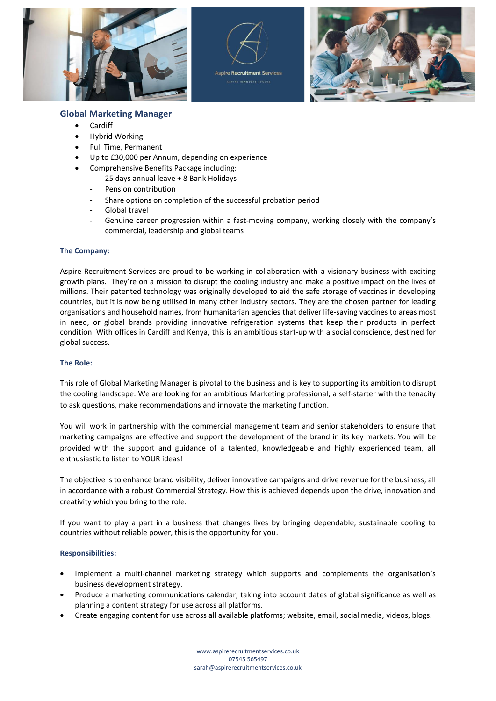





# **Global Marketing Manager**

- Cardiff
- Hybrid Working
- Full Time, Permanent
- Up to £30,000 per Annum, depending on experience
- Comprehensive Benefits Package including:
	- 25 days annual leave + 8 Bank Holidays
	- Pension contribution
	- Share options on completion of the successful probation period
	- Global travel
	- Genuine career progression within a fast-moving company, working closely with the company's commercial, leadership and global teams

## **The Company:**

Aspire Recruitment Services are proud to be working in collaboration with a visionary business with exciting growth plans. They're on a mission to disrupt the cooling industry and make a positive impact on the lives of millions. Their patented technology was originally developed to aid the safe storage of vaccines in developing countries, but it is now being utilised in many other industry sectors. They are the chosen partner for leading organisations and household names, from humanitarian agencies that deliver life-saving vaccines to areas most in need, or global brands providing innovative refrigeration systems that keep their products in perfect condition. With offices in Cardiff and Kenya, this is an ambitious start-up with a social conscience, destined for global success.

## **The Role:**

This role of Global Marketing Manager is pivotal to the business and is key to supporting its ambition to disrupt the cooling landscape. We are looking for an ambitious Marketing professional; a self-starter with the tenacity to ask questions, make recommendations and innovate the marketing function.

You will work in partnership with the commercial management team and senior stakeholders to ensure that marketing campaigns are effective and support the development of the brand in its key markets. You will be provided with the support and guidance of a talented, knowledgeable and highly experienced team, all enthusiastic to listen to YOUR ideas!

The objective is to enhance brand visibility, deliver innovative campaigns and drive revenue for the business, all in accordance with a robust Commercial Strategy. How this is achieved depends upon the drive, innovation and creativity which you bring to the role.

If you want to play a part in a business that changes lives by bringing dependable, sustainable cooling to countries without reliable power, this is the opportunity for you.

## **Responsibilities:**

- Implement a multi-channel marketing strategy which supports and complements the organisation's business development strategy.
- Produce a marketing communications calendar, taking into account dates of global significance as well as planning a content strategy for use across all platforms.
- Create engaging content for use across all available platforms; website, email, social media, videos, blogs.